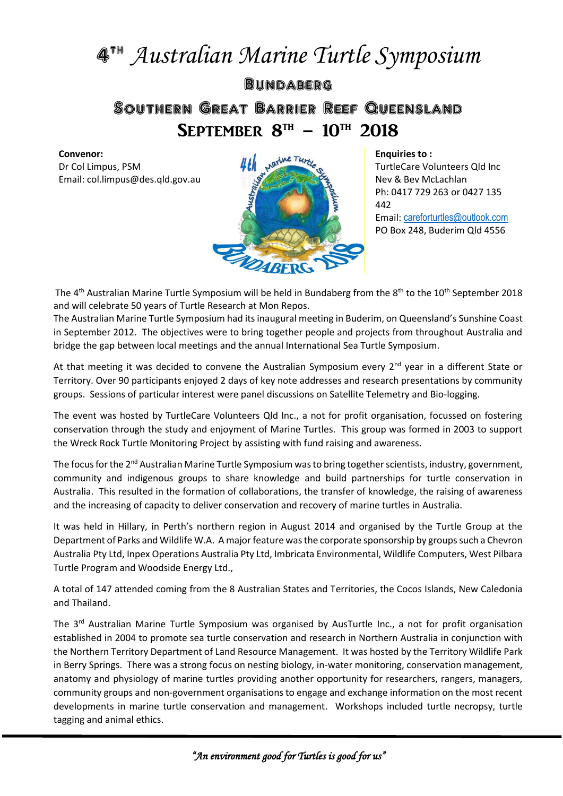## 4 th *Australian Marine Turtle Symposium*

**BUNDABERG** Southern Great Barrier Reef Queensland SEPTEMBER  $8^{TH}$  –  $10^{TH}$  2018

## **Convenor:**

Dr Col Limpus, PSM Email: col.limpus@des.qld.gov.au



**Enquiries to :**

TurtleCare Volunteers Qld Inc Nev & Bev McLachlan Ph: 0417 729 263 or 0427 135 442 Email: [careforturtles@outlook.com](mailto:careforturtles@outlook.com)

PO Box 248, Buderim Qld 4556

The 4<sup>th</sup> Australian Marine Turtle Symposium will be held in Bundaberg from the 8<sup>th</sup> to the 10<sup>th</sup> September 2018 and will celebrate 50 years of Turtle Research at Mon Repos.

The Australian Marine Turtle Symposium had its inaugural meeting in Buderim, on Queensland's Sunshine Coast in September 2012. The objectives were to bring together people and projects from throughout Australia and bridge the gap between local meetings and the annual International Sea Turtle Symposium.

At that meeting it was decided to convene the Australian Symposium every 2<sup>nd</sup> year in a different State or Territory. Over 90 participants enjoyed 2 days of key note addresses and research presentations by community groups. Sessions of particular interest were panel discussions on Satellite Telemetry and Bio-logging.

The event was hosted by TurtleCare Volunteers Qld Inc., a not for profit organisation, focussed on fostering conservation through the study and enjoyment of Marine Turtles. This group was formed in 2003 to support the Wreck Rock Turtle Monitoring Project by assisting with fund raising and awareness.

The focus for the 2<sup>nd</sup> Australian Marine Turtle Symposium was to bring together scientists, industry, government, community and indigenous groups to share knowledge and build partnerships for turtle conservation in Australia. This resulted in the formation of collaborations, the transfer of knowledge, the raising of awareness and the increasing of capacity to deliver conservation and recovery of marine turtles in Australia.

It was held in Hillary, in Perth's northern region in August 2014 and organised by the Turtle Group at the Department of Parks and Wildlife W.A. A major feature was the corporate sponsorship by groups such a Chevron Australia Pty Ltd, Inpex Operations Australia Pty Ltd, Imbricata Environmental, Wildlife Computers, West Pilbara Turtle Program and Woodside Energy Ltd.,

A total of 147 attended coming from the 8 Australian States and Territories, the Cocos Islands, New Caledonia and Thailand.

The 3<sup>rd</sup> Australian Marine Turtle Symposium was organised by AusTurtle Inc., a not for profit organisation established in 2004 to promote sea turtle conservation and research in Northern Australia in conjunction with the Northern Territory Department of Land Resource Management. It was hosted by the Territory Wildlife Park in Berry Springs. There was a strong focus on nesting biology, in-water monitoring, conservation management, anatomy and physiology of marine turtles providing another opportunity for researchers, rangers, managers, community groups and non-government organisations to engage and exchange information on the most recent developments in marine turtle conservation and management. Workshops included turtle necropsy, turtle tagging and animal ethics.